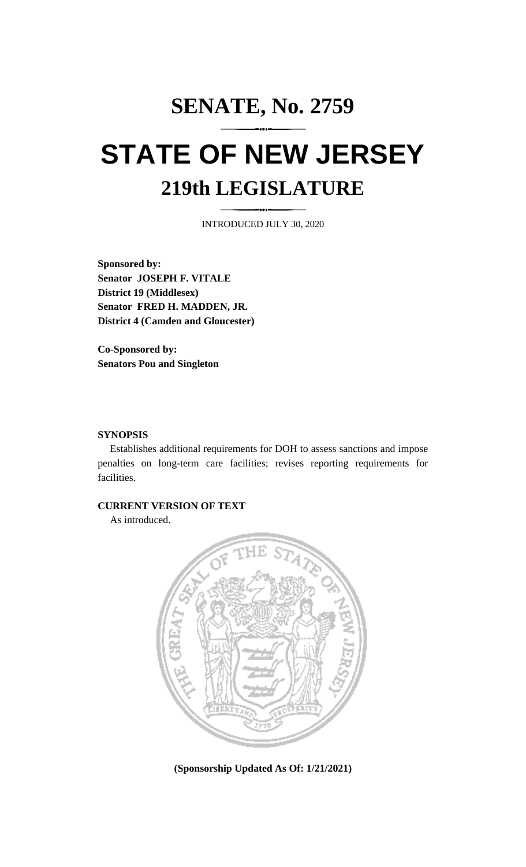# **SENATE, No. 2759 STATE OF NEW JERSEY 219th LEGISLATURE**

INTRODUCED JULY 30, 2020

**Sponsored by: Senator JOSEPH F. VITALE District 19 (Middlesex) Senator FRED H. MADDEN, JR. District 4 (Camden and Gloucester)**

**Co-Sponsored by: Senators Pou and Singleton**

### **SYNOPSIS**

Establishes additional requirements for DOH to assess sanctions and impose penalties on long-term care facilities; revises reporting requirements for facilities.

### **CURRENT VERSION OF TEXT**

As introduced.



**(Sponsorship Updated As Of: 1/21/2021)**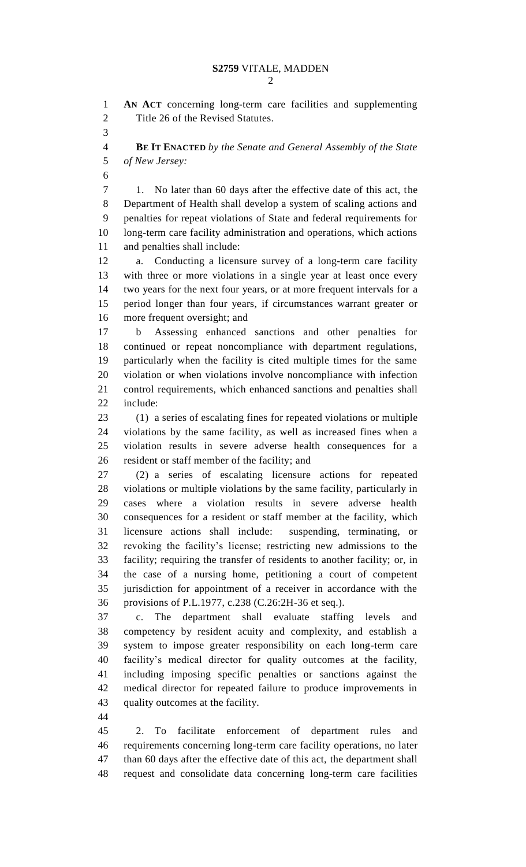**AN ACT** concerning long-term care facilities and supplementing

 Title 26 of the Revised Statutes. **BE IT ENACTED** *by the Senate and General Assembly of the State of New Jersey:* 1. No later than 60 days after the effective date of this act, the Department of Health shall develop a system of scaling actions and penalties for repeat violations of State and federal requirements for long-term care facility administration and operations, which actions

and penalties shall include:

 a. Conducting a licensure survey of a long-term care facility with three or more violations in a single year at least once every two years for the next four years, or at more frequent intervals for a period longer than four years, if circumstances warrant greater or more frequent oversight; and

 b Assessing enhanced sanctions and other penalties for continued or repeat noncompliance with department regulations, particularly when the facility is cited multiple times for the same violation or when violations involve noncompliance with infection control requirements, which enhanced sanctions and penalties shall include:

 (1) a series of escalating fines for repeated violations or multiple violations by the same facility, as well as increased fines when a violation results in severe adverse health consequences for a resident or staff member of the facility; and

 (2) a series of escalating licensure actions for repeated violations or multiple violations by the same facility, particularly in cases where a violation results in severe adverse health consequences for a resident or staff member at the facility, which licensure actions shall include: suspending, terminating, or revoking the facility's license; restricting new admissions to the facility; requiring the transfer of residents to another facility; or, in the case of a nursing home, petitioning a court of competent jurisdiction for appointment of a receiver in accordance with the provisions of P.L.1977, c.238 (C.26:2H-36 et seq.).

 c. The department shall evaluate staffing levels and competency by resident acuity and complexity, and establish a system to impose greater responsibility on each long-term care facility's medical director for quality outcomes at the facility, including imposing specific penalties or sanctions against the medical director for repeated failure to produce improvements in quality outcomes at the facility.

 2. To facilitate enforcement of department rules and requirements concerning long-term care facility operations, no later than 60 days after the effective date of this act, the department shall request and consolidate data concerning long-term care facilities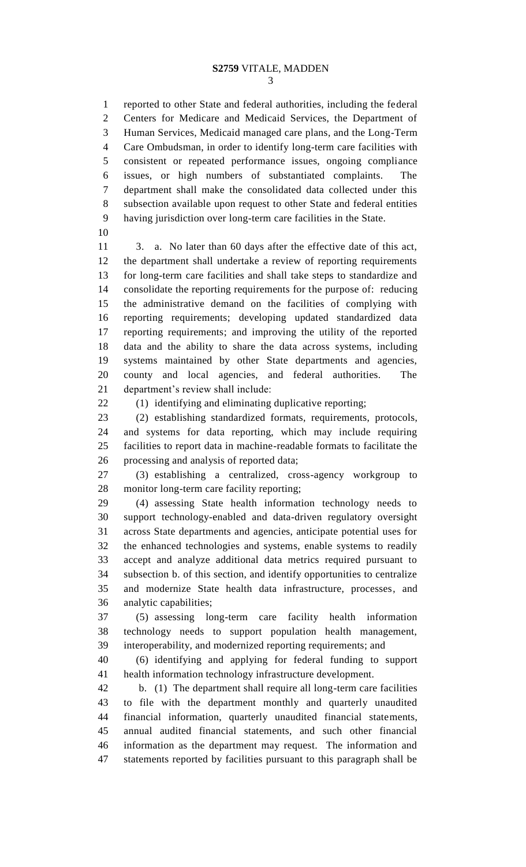reported to other State and federal authorities, including the federal Centers for Medicare and Medicaid Services, the Department of Human Services, Medicaid managed care plans, and the Long-Term Care Ombudsman, in order to identify long-term care facilities with consistent or repeated performance issues, ongoing compliance issues, or high numbers of substantiated complaints. The department shall make the consolidated data collected under this subsection available upon request to other State and federal entities having jurisdiction over long-term care facilities in the State.

 3. a. No later than 60 days after the effective date of this act, the department shall undertake a review of reporting requirements for long-term care facilities and shall take steps to standardize and consolidate the reporting requirements for the purpose of: reducing the administrative demand on the facilities of complying with reporting requirements; developing updated standardized data reporting requirements; and improving the utility of the reported data and the ability to share the data across systems, including systems maintained by other State departments and agencies, county and local agencies, and federal authorities. The department's review shall include:

(1) identifying and eliminating duplicative reporting;

 (2) establishing standardized formats, requirements, protocols, and systems for data reporting, which may include requiring facilities to report data in machine-readable formats to facilitate the processing and analysis of reported data;

 (3) establishing a centralized, cross-agency workgroup to monitor long-term care facility reporting;

 (4) assessing State health information technology needs to support technology-enabled and data-driven regulatory oversight across State departments and agencies, anticipate potential uses for the enhanced technologies and systems, enable systems to readily accept and analyze additional data metrics required pursuant to subsection b. of this section, and identify opportunities to centralize and modernize State health data infrastructure, processes, and analytic capabilities;

 (5) assessing long-term care facility health information technology needs to support population health management, interoperability, and modernized reporting requirements; and

 (6) identifying and applying for federal funding to support health information technology infrastructure development.

 b. (1) The department shall require all long-term care facilities to file with the department monthly and quarterly unaudited financial information, quarterly unaudited financial statements, annual audited financial statements, and such other financial information as the department may request. The information and statements reported by facilities pursuant to this paragraph shall be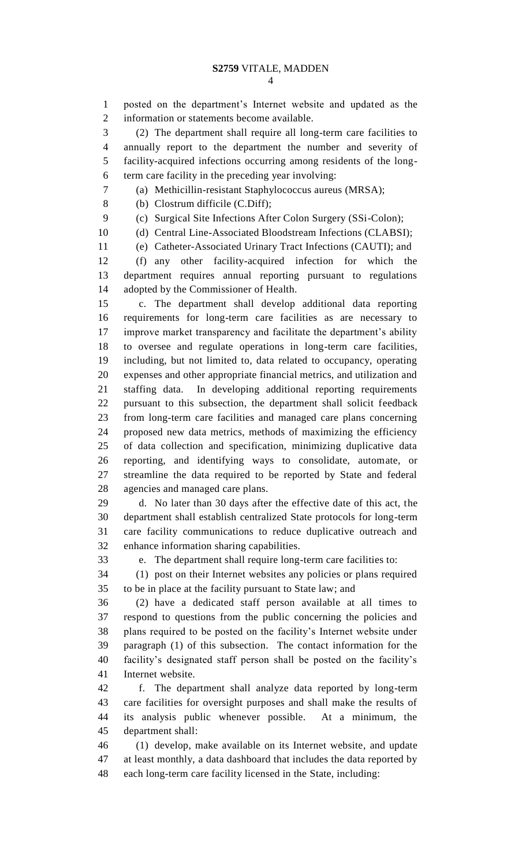posted on the department's Internet website and updated as the information or statements become available.

 (2) The department shall require all long-term care facilities to annually report to the department the number and severity of facility-acquired infections occurring among residents of the long-term care facility in the preceding year involving:

(a) Methicillin-resistant Staphylococcus aureus (MRSA);

(b) Clostrum difficile (C.Diff);

(c) Surgical Site Infections After Colon Surgery (SSi-Colon);

10 (d) Central Line-Associated Bloodstream Infections (CLABSI);

(e) Catheter-Associated Urinary Tract Infections (CAUTI); and

 (f) any other facility-acquired infection for which the department requires annual reporting pursuant to regulations adopted by the Commissioner of Health.

 c. The department shall develop additional data reporting requirements for long-term care facilities as are necessary to improve market transparency and facilitate the department's ability to oversee and regulate operations in long-term care facilities, including, but not limited to, data related to occupancy, operating expenses and other appropriate financial metrics, and utilization and staffing data. In developing additional reporting requirements pursuant to this subsection, the department shall solicit feedback from long-term care facilities and managed care plans concerning proposed new data metrics, methods of maximizing the efficiency of data collection and specification, minimizing duplicative data reporting, and identifying ways to consolidate, automate, or streamline the data required to be reported by State and federal agencies and managed care plans.

 d. No later than 30 days after the effective date of this act, the department shall establish centralized State protocols for long-term care facility communications to reduce duplicative outreach and enhance information sharing capabilities.

e. The department shall require long-term care facilities to:

 (1) post on their Internet websites any policies or plans required to be in place at the facility pursuant to State law; and

 (2) have a dedicated staff person available at all times to respond to questions from the public concerning the policies and plans required to be posted on the facility's Internet website under paragraph (1) of this subsection. The contact information for the facility's designated staff person shall be posted on the facility's Internet website.

 f. The department shall analyze data reported by long-term care facilities for oversight purposes and shall make the results of its analysis public whenever possible. At a minimum, the department shall:

 (1) develop, make available on its Internet website, and update at least monthly, a data dashboard that includes the data reported by each long-term care facility licensed in the State, including: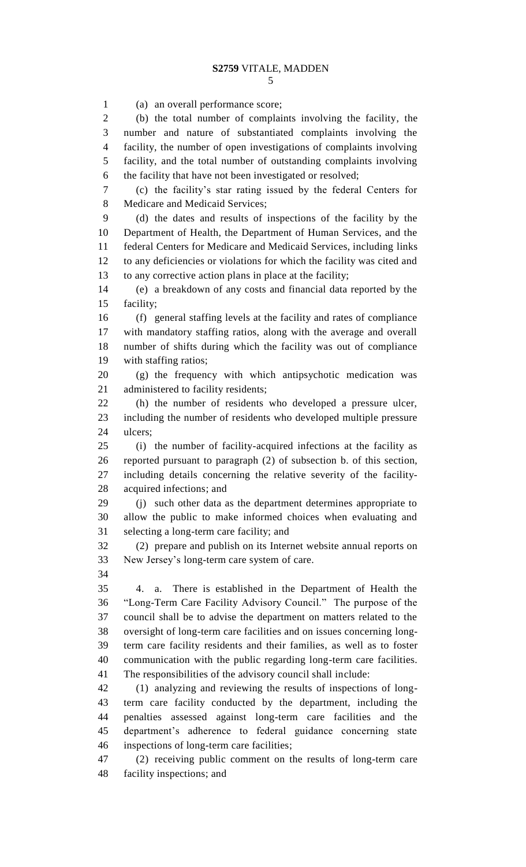(a) an overall performance score; (b) the total number of complaints involving the facility, the number and nature of substantiated complaints involving the facility, the number of open investigations of complaints involving facility, and the total number of outstanding complaints involving the facility that have not been investigated or resolved; (c) the facility's star rating issued by the federal Centers for Medicare and Medicaid Services; (d) the dates and results of inspections of the facility by the Department of Health, the Department of Human Services, and the federal Centers for Medicare and Medicaid Services, including links to any deficiencies or violations for which the facility was cited and to any corrective action plans in place at the facility; (e) a breakdown of any costs and financial data reported by the facility; (f) general staffing levels at the facility and rates of compliance with mandatory staffing ratios, along with the average and overall number of shifts during which the facility was out of compliance with staffing ratios; (g) the frequency with which antipsychotic medication was administered to facility residents; (h) the number of residents who developed a pressure ulcer, including the number of residents who developed multiple pressure ulcers; (i) the number of facility-acquired infections at the facility as reported pursuant to paragraph (2) of subsection b. of this section, including details concerning the relative severity of the facility- acquired infections; and (j) such other data as the department determines appropriate to allow the public to make informed choices when evaluating and selecting a long-term care facility; and (2) prepare and publish on its Internet website annual reports on New Jersey's long-term care system of care. 4. a. There is established in the Department of Health the "Long-Term Care Facility Advisory Council." The purpose of the council shall be to advise the department on matters related to the oversight of long-term care facilities and on issues concerning long- term care facility residents and their families, as well as to foster communication with the public regarding long-term care facilities. The responsibilities of the advisory council shall include: (1) analyzing and reviewing the results of inspections of long- term care facility conducted by the department, including the penalties assessed against long-term care facilities and the department's adherence to federal guidance concerning state inspections of long-term care facilities; (2) receiving public comment on the results of long-term care facility inspections; and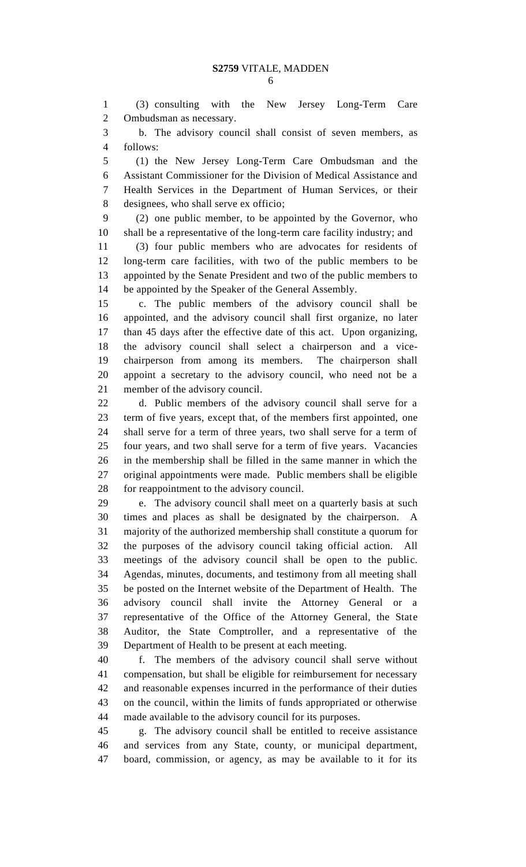(3) consulting with the New Jersey Long-Term Care Ombudsman as necessary.

 b. The advisory council shall consist of seven members, as follows:

 (1) the New Jersey Long-Term Care Ombudsman and the Assistant Commissioner for the Division of Medical Assistance and Health Services in the Department of Human Services, or their designees, who shall serve ex officio;

 (2) one public member, to be appointed by the Governor, who shall be a representative of the long-term care facility industry; and

 (3) four public members who are advocates for residents of long-term care facilities, with two of the public members to be appointed by the Senate President and two of the public members to be appointed by the Speaker of the General Assembly.

 c. The public members of the advisory council shall be appointed, and the advisory council shall first organize, no later than 45 days after the effective date of this act. Upon organizing, the advisory council shall select a chairperson and a vice- chairperson from among its members. The chairperson shall appoint a secretary to the advisory council, who need not be a member of the advisory council.

 d. Public members of the advisory council shall serve for a term of five years, except that, of the members first appointed, one shall serve for a term of three years, two shall serve for a term of four years, and two shall serve for a term of five years. Vacancies in the membership shall be filled in the same manner in which the original appointments were made. Public members shall be eligible for reappointment to the advisory council.

 e. The advisory council shall meet on a quarterly basis at such times and places as shall be designated by the chairperson. A majority of the authorized membership shall constitute a quorum for the purposes of the advisory council taking official action. All meetings of the advisory council shall be open to the public. Agendas, minutes, documents, and testimony from all meeting shall be posted on the Internet website of the Department of Health. The advisory council shall invite the Attorney General or a representative of the Office of the Attorney General, the State Auditor, the State Comptroller, and a representative of the Department of Health to be present at each meeting.

 f. The members of the advisory council shall serve without compensation, but shall be eligible for reimbursement for necessary and reasonable expenses incurred in the performance of their duties on the council, within the limits of funds appropriated or otherwise made available to the advisory council for its purposes.

 g. The advisory council shall be entitled to receive assistance and services from any State, county, or municipal department, board, commission, or agency, as may be available to it for its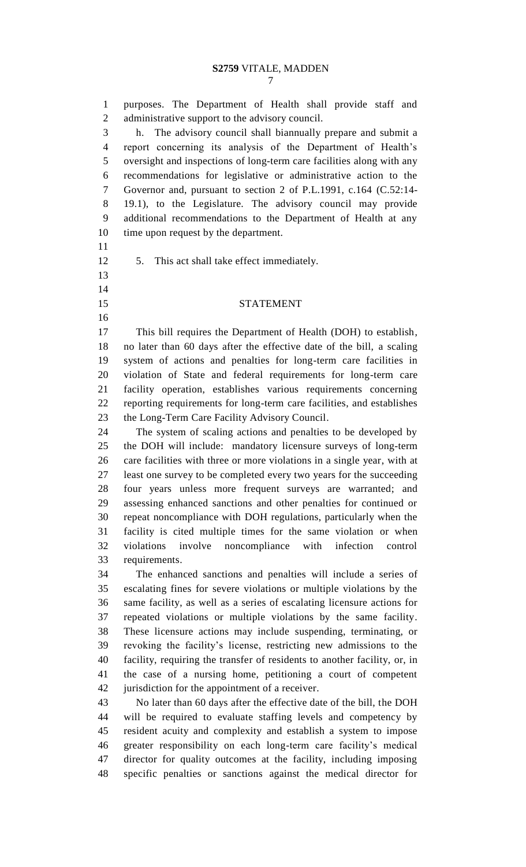purposes. The Department of Health shall provide staff and administrative support to the advisory council. h. The advisory council shall biannually prepare and submit a report concerning its analysis of the Department of Health's oversight and inspections of long-term care facilities along with any recommendations for legislative or administrative action to the Governor and, pursuant to section 2 of P.L.1991, c.164 (C.52:14- 19.1), to the Legislature. The advisory council may provide additional recommendations to the Department of Health at any time upon request by the department. 5. This act shall take effect immediately. STATEMENT This bill requires the Department of Health (DOH) to establish, no later than 60 days after the effective date of the bill, a scaling system of actions and penalties for long-term care facilities in violation of State and federal requirements for long-term care facility operation, establishes various requirements concerning reporting requirements for long-term care facilities, and establishes the Long-Term Care Facility Advisory Council. The system of scaling actions and penalties to be developed by the DOH will include: mandatory licensure surveys of long-term care facilities with three or more violations in a single year, with at least one survey to be completed every two years for the succeeding four years unless more frequent surveys are warranted; and assessing enhanced sanctions and other penalties for continued or repeat noncompliance with DOH regulations, particularly when the facility is cited multiple times for the same violation or when violations involve noncompliance with infection control requirements. The enhanced sanctions and penalties will include a series of escalating fines for severe violations or multiple violations by the same facility, as well as a series of escalating licensure actions for repeated violations or multiple violations by the same facility. These licensure actions may include suspending, terminating, or revoking the facility's license, restricting new admissions to the facility, requiring the transfer of residents to another facility, or, in the case of a nursing home, petitioning a court of competent jurisdiction for the appointment of a receiver. No later than 60 days after the effective date of the bill, the DOH will be required to evaluate staffing levels and competency by resident acuity and complexity and establish a system to impose greater responsibility on each long-term care facility's medical director for quality outcomes at the facility, including imposing specific penalties or sanctions against the medical director for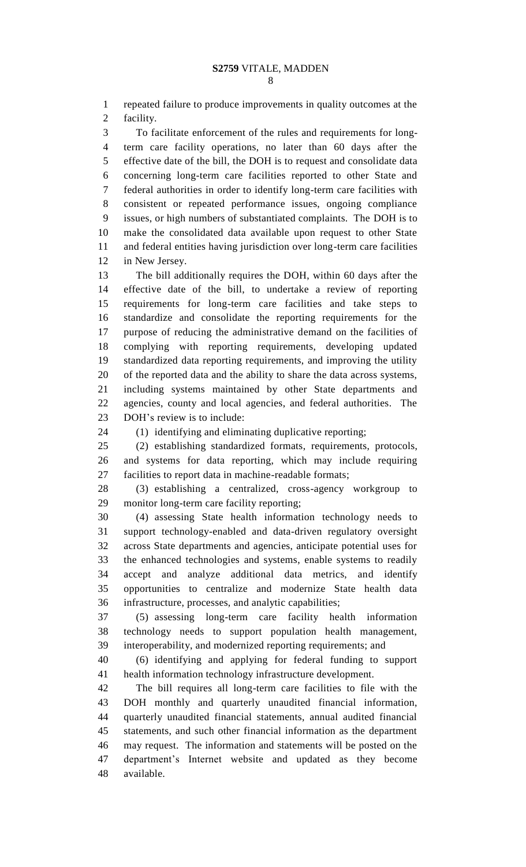repeated failure to produce improvements in quality outcomes at the facility.

 To facilitate enforcement of the rules and requirements for long- term care facility operations, no later than 60 days after the effective date of the bill, the DOH is to request and consolidate data concerning long-term care facilities reported to other State and federal authorities in order to identify long-term care facilities with consistent or repeated performance issues, ongoing compliance issues, or high numbers of substantiated complaints. The DOH is to make the consolidated data available upon request to other State and federal entities having jurisdiction over long-term care facilities in New Jersey.

 The bill additionally requires the DOH, within 60 days after the effective date of the bill, to undertake a review of reporting requirements for long-term care facilities and take steps to standardize and consolidate the reporting requirements for the purpose of reducing the administrative demand on the facilities of complying with reporting requirements, developing updated standardized data reporting requirements, and improving the utility of the reported data and the ability to share the data across systems, including systems maintained by other State departments and agencies, county and local agencies, and federal authorities. The DOH's review is to include:

(1) identifying and eliminating duplicative reporting;

 (2) establishing standardized formats, requirements, protocols, and systems for data reporting, which may include requiring facilities to report data in machine-readable formats;

 (3) establishing a centralized, cross-agency workgroup to monitor long-term care facility reporting;

 (4) assessing State health information technology needs to support technology-enabled and data-driven regulatory oversight across State departments and agencies, anticipate potential uses for the enhanced technologies and systems, enable systems to readily accept and analyze additional data metrics, and identify opportunities to centralize and modernize State health data infrastructure, processes, and analytic capabilities;

 (5) assessing long-term care facility health information technology needs to support population health management, interoperability, and modernized reporting requirements; and

 (6) identifying and applying for federal funding to support health information technology infrastructure development.

 The bill requires all long-term care facilities to file with the DOH monthly and quarterly unaudited financial information, quarterly unaudited financial statements, annual audited financial statements, and such other financial information as the department may request. The information and statements will be posted on the department's Internet website and updated as they become available.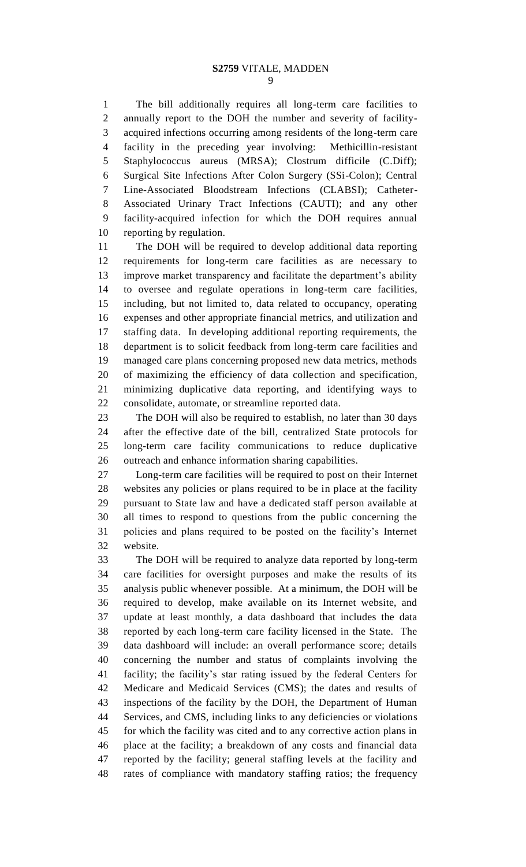## **S2759** VITALE, MADDEN

 The bill additionally requires all long-term care facilities to annually report to the DOH the number and severity of facility- acquired infections occurring among residents of the long-term care facility in the preceding year involving: Methicillin-resistant Staphylococcus aureus (MRSA); Clostrum difficile (C.Diff); Surgical Site Infections After Colon Surgery (SSi-Colon); Central Line-Associated Bloodstream Infections (CLABSI); Catheter- Associated Urinary Tract Infections (CAUTI); and any other facility-acquired infection for which the DOH requires annual reporting by regulation.

 The DOH will be required to develop additional data reporting requirements for long-term care facilities as are necessary to improve market transparency and facilitate the department's ability to oversee and regulate operations in long-term care facilities, including, but not limited to, data related to occupancy, operating expenses and other appropriate financial metrics, and utilization and staffing data. In developing additional reporting requirements, the department is to solicit feedback from long-term care facilities and managed care plans concerning proposed new data metrics, methods of maximizing the efficiency of data collection and specification, minimizing duplicative data reporting, and identifying ways to consolidate, automate, or streamline reported data.

 The DOH will also be required to establish, no later than 30 days after the effective date of the bill, centralized State protocols for long-term care facility communications to reduce duplicative outreach and enhance information sharing capabilities.

 Long-term care facilities will be required to post on their Internet websites any policies or plans required to be in place at the facility pursuant to State law and have a dedicated staff person available at all times to respond to questions from the public concerning the policies and plans required to be posted on the facility's Internet website.

 The DOH will be required to analyze data reported by long-term care facilities for oversight purposes and make the results of its analysis public whenever possible. At a minimum, the DOH will be required to develop, make available on its Internet website, and update at least monthly, a data dashboard that includes the data reported by each long-term care facility licensed in the State. The data dashboard will include: an overall performance score; details concerning the number and status of complaints involving the facility; the facility's star rating issued by the federal Centers for Medicare and Medicaid Services (CMS); the dates and results of inspections of the facility by the DOH, the Department of Human Services, and CMS, including links to any deficiencies or violations for which the facility was cited and to any corrective action plans in place at the facility; a breakdown of any costs and financial data reported by the facility; general staffing levels at the facility and rates of compliance with mandatory staffing ratios; the frequency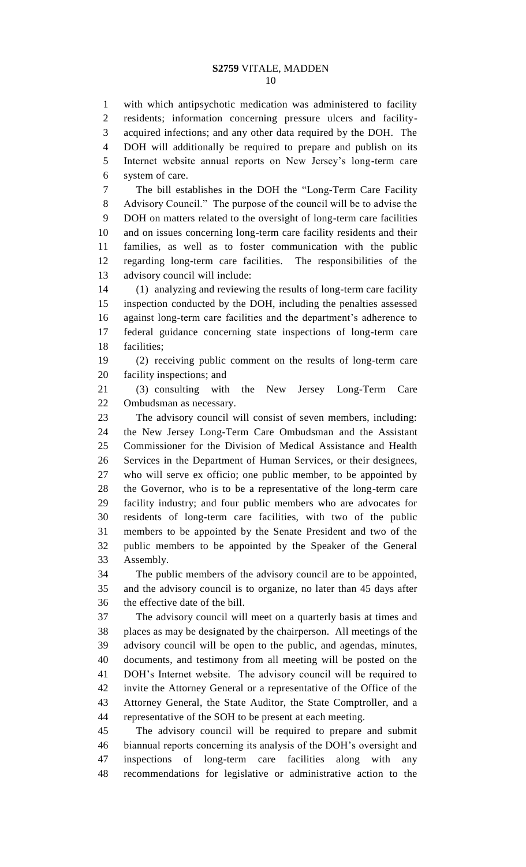with which antipsychotic medication was administered to facility residents; information concerning pressure ulcers and facility- acquired infections; and any other data required by the DOH. The DOH will additionally be required to prepare and publish on its Internet website annual reports on New Jersey's long-term care system of care.

 The bill establishes in the DOH the "Long-Term Care Facility Advisory Council." The purpose of the council will be to advise the DOH on matters related to the oversight of long-term care facilities and on issues concerning long-term care facility residents and their families, as well as to foster communication with the public regarding long-term care facilities. The responsibilities of the advisory council will include:

 (1) analyzing and reviewing the results of long-term care facility inspection conducted by the DOH, including the penalties assessed against long-term care facilities and the department's adherence to federal guidance concerning state inspections of long-term care facilities;

 (2) receiving public comment on the results of long-term care facility inspections; and

 (3) consulting with the New Jersey Long-Term Care Ombudsman as necessary.

 The advisory council will consist of seven members, including: the New Jersey Long-Term Care Ombudsman and the Assistant Commissioner for the Division of Medical Assistance and Health Services in the Department of Human Services, or their designees, who will serve ex officio; one public member, to be appointed by the Governor, who is to be a representative of the long-term care facility industry; and four public members who are advocates for residents of long-term care facilities, with two of the public members to be appointed by the Senate President and two of the public members to be appointed by the Speaker of the General Assembly.

 The public members of the advisory council are to be appointed, and the advisory council is to organize, no later than 45 days after the effective date of the bill.

 The advisory council will meet on a quarterly basis at times and places as may be designated by the chairperson. All meetings of the advisory council will be open to the public, and agendas, minutes, documents, and testimony from all meeting will be posted on the DOH's Internet website. The advisory council will be required to invite the Attorney General or a representative of the Office of the Attorney General, the State Auditor, the State Comptroller, and a representative of the SOH to be present at each meeting.

 The advisory council will be required to prepare and submit biannual reports concerning its analysis of the DOH's oversight and inspections of long-term care facilities along with any recommendations for legislative or administrative action to the